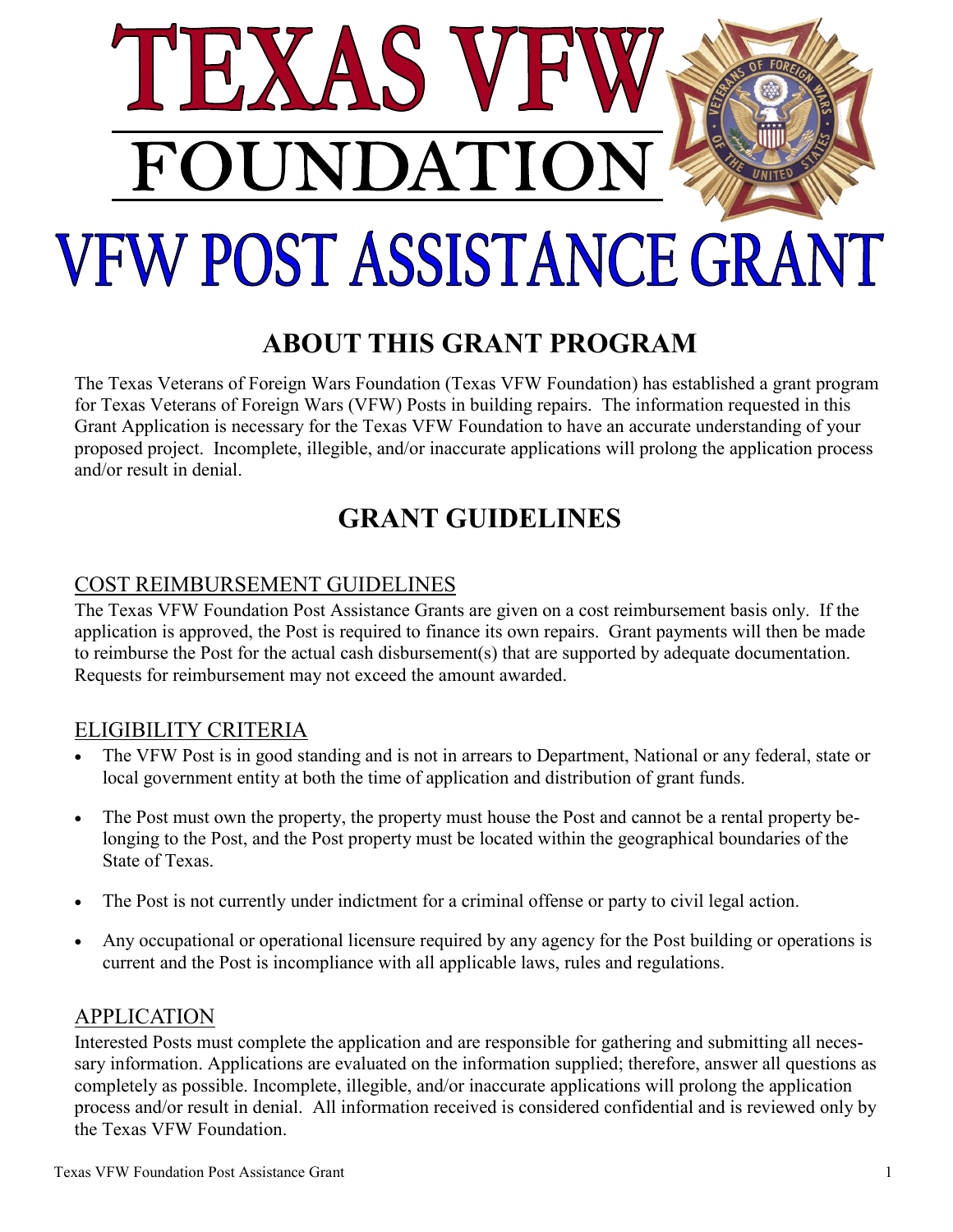

# **ABOUT THIS GRANT PROGRAM**

The Texas Veterans of Foreign Wars Foundation (Texas VFW Foundation) has established a grant program for Texas Veterans of Foreign Wars (VFW) Posts in building repairs. The information requested in this Grant Application is necessary for the Texas VFW Foundation to have an accurate understanding of your proposed project. Incomplete, illegible, and/or inaccurate applications will prolong the application process and/or result in denial.

# **GRANT GUIDELINES**

## COST REIMBURSEMENT GUIDELINES

The Texas VFW Foundation Post Assistance Grants are given on a cost reimbursement basis only. If the application is approved, the Post is required to finance its own repairs. Grant payments will then be made to reimburse the Post for the actual cash disbursement(s) that are supported by adequate documentation. Requests for reimbursement may not exceed the amount awarded.

### ELIGIBILITY CRITERIA

- The VFW Post is in good standing and is not in arrears to Department, National or any federal, state or local government entity at both the time of application and distribution of grant funds.
- The Post must own the property, the property must house the Post and cannot be a rental property belonging to the Post, and the Post property must be located within the geographical boundaries of the State of Texas.
- The Post is not currently under indictment for a criminal offense or party to civil legal action.
- Any occupational or operational licensure required by any agency for the Post building or operations is current and the Post is incompliance with all applicable laws, rules and regulations.

### **APPLICATION**

Interested Posts must complete the application and are responsible for gathering and submitting all necessary information. Applications are evaluated on the information supplied; therefore, answer all questions as completely as possible. Incomplete, illegible, and/or inaccurate applications will prolong the application process and/or result in denial. All information received is considered confidential and is reviewed only by the Texas VFW Foundation.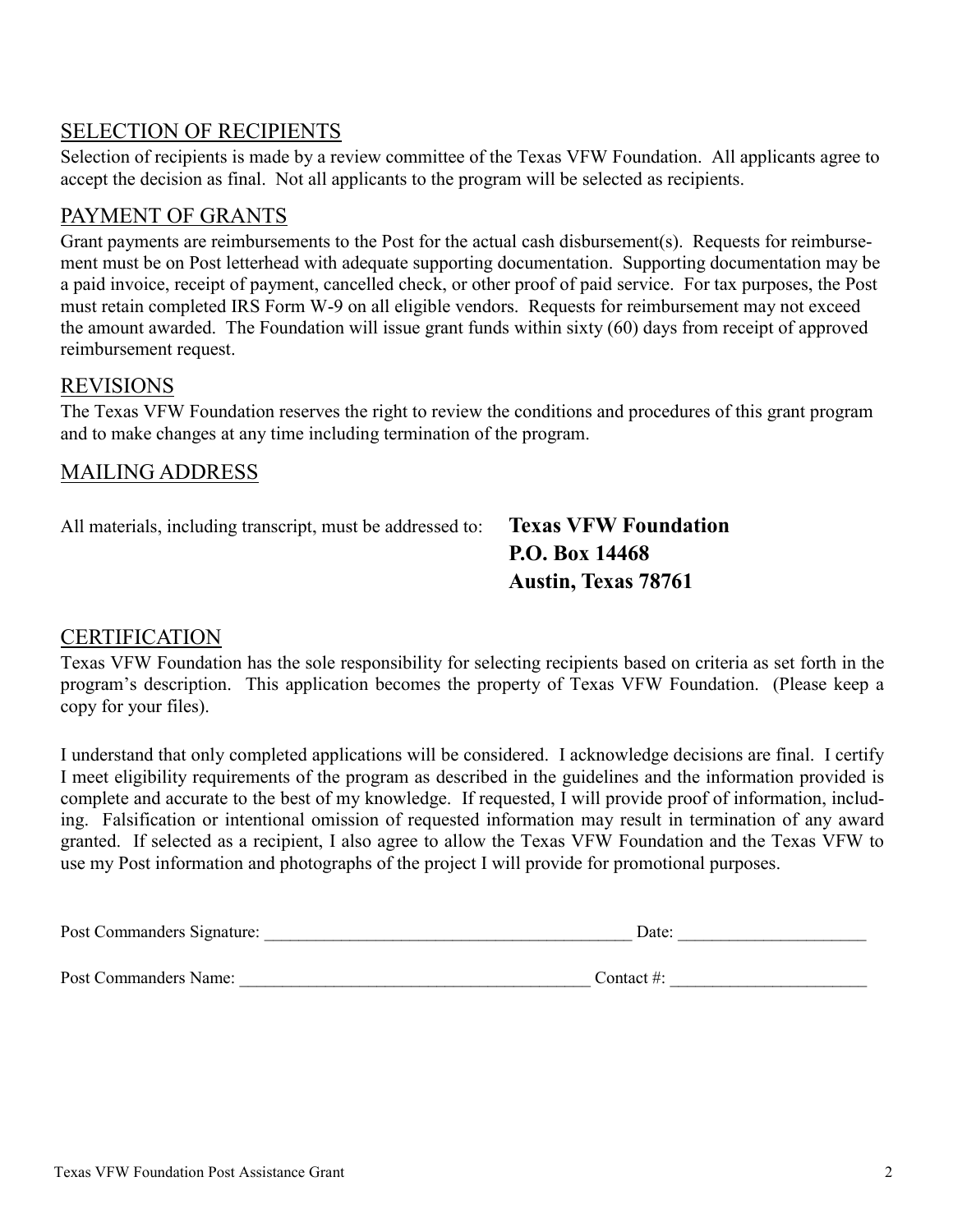## SELECTION OF RECIPIENTS

Selection of recipients is made by a review committee of the Texas VFW Foundation. All applicants agree to accept the decision as final. Not all applicants to the program will be selected as recipients.

#### PAYMENT OF GRANTS

Grant payments are reimbursements to the Post for the actual cash disbursement(s). Requests for reimbursement must be on Post letterhead with adequate supporting documentation. Supporting documentation may be a paid invoice, receipt of payment, cancelled check, or other proof of paid service. For tax purposes, the Post must retain completed IRS Form W-9 on all eligible vendors. Requests for reimbursement may not exceed the amount awarded. The Foundation will issue grant funds within sixty (60) days from receipt of approved reimbursement request.

#### REVISIONS

The Texas VFW Foundation reserves the right to review the conditions and procedures of this grant program and to make changes at any time including termination of the program.

#### MAILING ADDRESS

All materials, including transcript, must be addressed to: **Texas VFW Foundation**

**P.O. Box 14468 Austin, Texas 78761**

#### CERTIFICATION

Texas VFW Foundation has the sole responsibility for selecting recipients based on criteria as set forth in the program's description. This application becomes the property of Texas VFW Foundation. (Please keep a copy for your files).

I understand that only completed applications will be considered. I acknowledge decisions are final. I certify I meet eligibility requirements of the program as described in the guidelines and the information provided is complete and accurate to the best of my knowledge. If requested, I will provide proof of information, including. Falsification or intentional omission of requested information may result in termination of any award granted. If selected as a recipient, I also agree to allow the Texas VFW Foundation and the Texas VFW to use my Post information and photographs of the project I will provide for promotional purposes.

| Post Commanders Signature: | Date: |  |
|----------------------------|-------|--|
|                            |       |  |

Post Commanders Name:  $\blacksquare$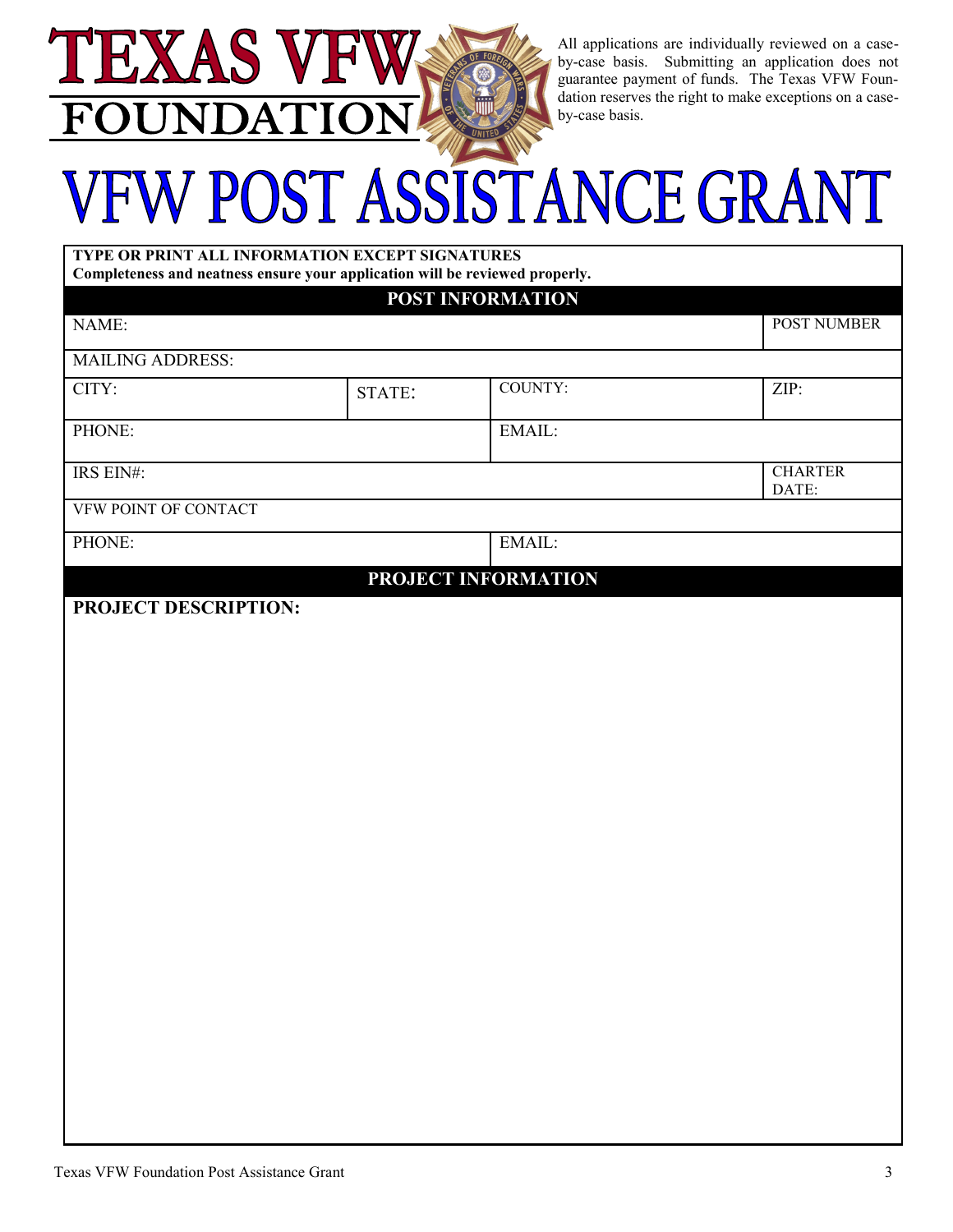All applications are individually reviewed on a caseby-case basis. Submitting an application does not guarantee payment of funds. The Texas VFW Foundation reserves the right to make exceptions on a caseby-case basis.

# FW POST ASSISTANCE GRANT

| TYPE OR PRINT ALL INFORMATION EXCEPT SIGNATURES<br>Completeness and neatness ensure your application will be reviewed properly. |                      |                                         |  |  |
|---------------------------------------------------------------------------------------------------------------------------------|----------------------|-----------------------------------------|--|--|
|                                                                                                                                 |                      |                                         |  |  |
|                                                                                                                                 |                      | POST NUMBER                             |  |  |
|                                                                                                                                 |                      |                                         |  |  |
| STATE:                                                                                                                          | <b>COUNTY:</b>       | ZIP:                                    |  |  |
|                                                                                                                                 | EMAIL:               |                                         |  |  |
|                                                                                                                                 |                      | <b>CHARTER</b><br>DATE:                 |  |  |
|                                                                                                                                 |                      |                                         |  |  |
|                                                                                                                                 | EMAIL:               |                                         |  |  |
|                                                                                                                                 |                      |                                         |  |  |
|                                                                                                                                 |                      |                                         |  |  |
|                                                                                                                                 | PROJECT DESCRIPTION: | POST INFORMATION<br>PROJECT INFORMATION |  |  |

EXAS V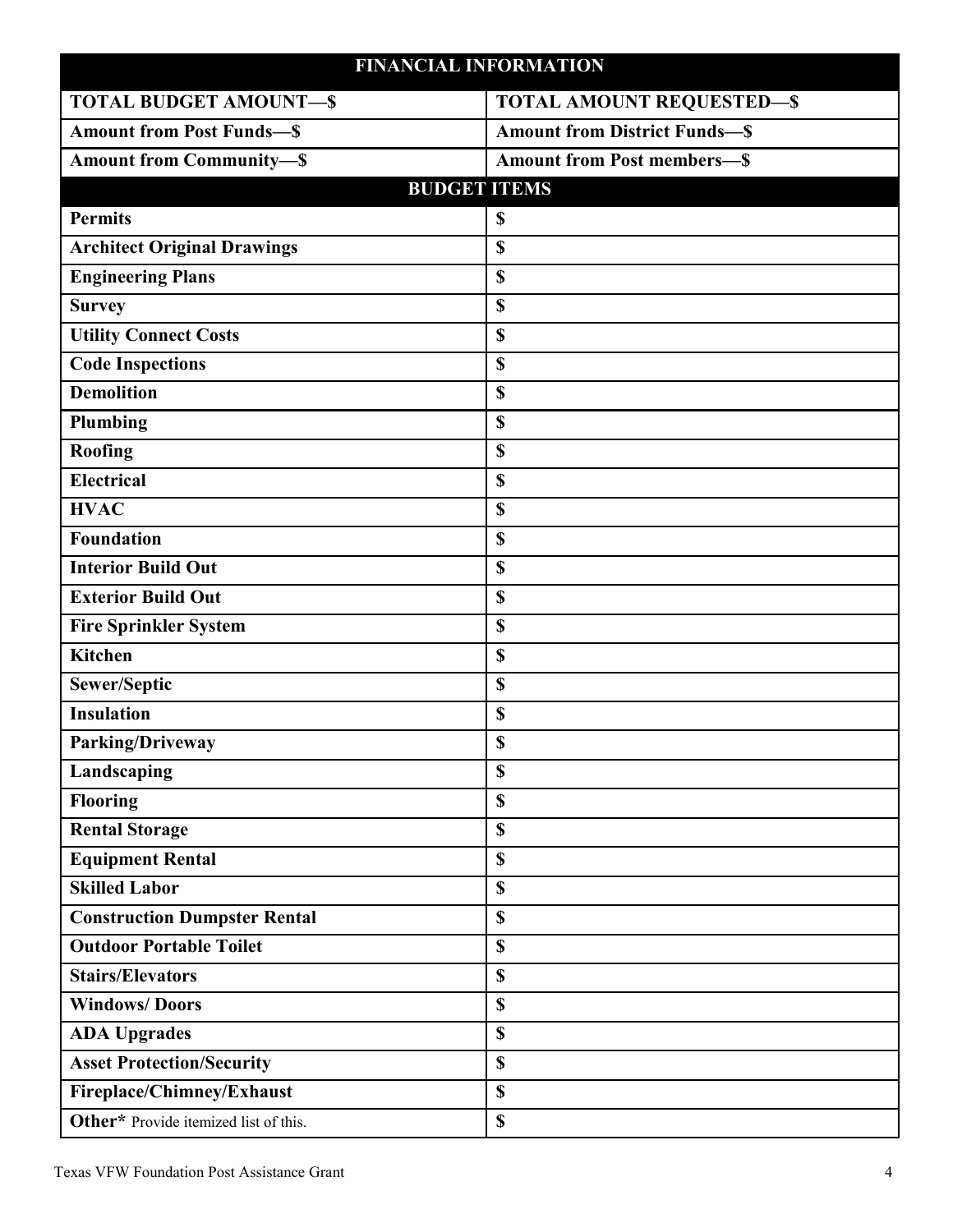#### **FINANCIAL INFORMATION**

| FINANCIAL INFUNNIA LIUN               |                                     |
|---------------------------------------|-------------------------------------|
| <b>TOTAL BUDGET AMOUNT-S</b>          | <b>TOTAL AMOUNT REQUESTED-\$</b>    |
| <b>Amount from Post Funds-S</b>       | <b>Amount from District Funds-S</b> |
| <b>Amount from Community-S</b>        | <b>Amount from Post members-S</b>   |
| <b>BUDGET ITEMS</b>                   |                                     |
| <b>Permits</b>                        | \$                                  |
| <b>Architect Original Drawings</b>    | \$                                  |
| <b>Engineering Plans</b>              | \$                                  |
| <b>Survey</b>                         | \$                                  |
| <b>Utility Connect Costs</b>          | \$                                  |
| <b>Code Inspections</b>               | \$                                  |
| <b>Demolition</b>                     | \$                                  |
| Plumbing                              | \$                                  |
| <b>Roofing</b>                        | \$                                  |
| <b>Electrical</b>                     | \$                                  |
| <b>HVAC</b>                           | \$                                  |
| Foundation                            | \$                                  |
| <b>Interior Build Out</b>             | \$                                  |
| <b>Exterior Build Out</b>             | \$                                  |
| <b>Fire Sprinkler System</b>          | \$                                  |
| <b>Kitchen</b>                        | \$                                  |
| Sewer/Septic                          | \$                                  |
| <b>Insulation</b>                     | \$                                  |
| Parking/Driveway                      | \$                                  |
| Landscaping                           | \$                                  |
| <b>Flooring</b>                       | \$                                  |
| <b>Rental Storage</b>                 | \$                                  |
| <b>Equipment Rental</b>               | \$                                  |
| <b>Skilled Labor</b>                  | \$                                  |
| <b>Construction Dumpster Rental</b>   | \$                                  |
| <b>Outdoor Portable Toilet</b>        | \$                                  |
| <b>Stairs/Elevators</b>               | \$                                  |
| <b>Windows/Doors</b>                  | \$                                  |
| <b>ADA Upgrades</b>                   | \$                                  |
| <b>Asset Protection/Security</b>      | \$                                  |
| Fireplace/Chimney/Exhaust             | \$                                  |
| Other* Provide itemized list of this. | \$                                  |